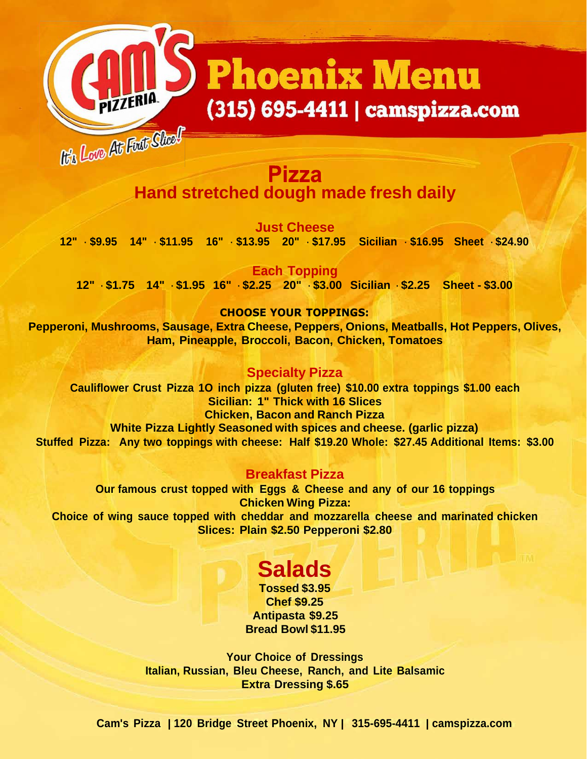# **Phoenix Menu** (315) 695-4411 | camspizza.com

# It's Love At Fust Sheef **Pizza Hand stretched dough made fresh daily**

**Just Cheese 12" - \$9.95 14" - \$11.95 16" - \$13.95 20" - \$17.95 Sicilian - \$16.95 Sheet - \$24.90**

**Each Topping 12" - \$1.75 14" - \$1.95 16" - \$2.25 20" - \$3.00 Sicilian - \$2.25 Sheet - \$3.00**

### **CHOOSE YOUR TOPPINGS:**

**Pepperoni, Mushrooms, Sausage, Extra Cheese, Peppers, Onions, Meatballs, Hot Peppers, Olives, Ham, Pineapple, Broccoli, Bacon, Chicken, Tomatoes**

#### **Specialty Pizza**

**Cauliflower Crust Pizza 1O inch pizza (gluten free) \$10.00 extra toppings \$1.00 each Sicilian: 1" Thick with 16 Slices Chicken, Bacon and Ranch Pizza White Pizza Lightly Seasoned with spices and cheese. (garlic pizza) Stuffed Pizza: Any two toppings with cheese: Half \$19.20 Whole: \$27.45 Additional Items: \$3.00**

#### **Breakfast Pizza**

**Our famous crust topped with Eggs & Cheese and any of our 16 toppings Chicken Wing Pizza: Choice of wing sauce topped with cheddar and mozzarella cheese and marinated chicken Slices: Plain \$2.50 Pepperoni \$2.80**

# **Salads**

**Tossed \$3.95 Chef \$9.25 Antipasta \$9.25 Bread Bowl \$11.95**

**Your Choice of Dressings Italian, Russian, Bleu Cheese, Ranch, and Lite Balsamic Extra Dressing \$.65**

**Cam's Pizza | 120 Bridge Street Phoenix, NY | 315-695-4411 | camspizza.com**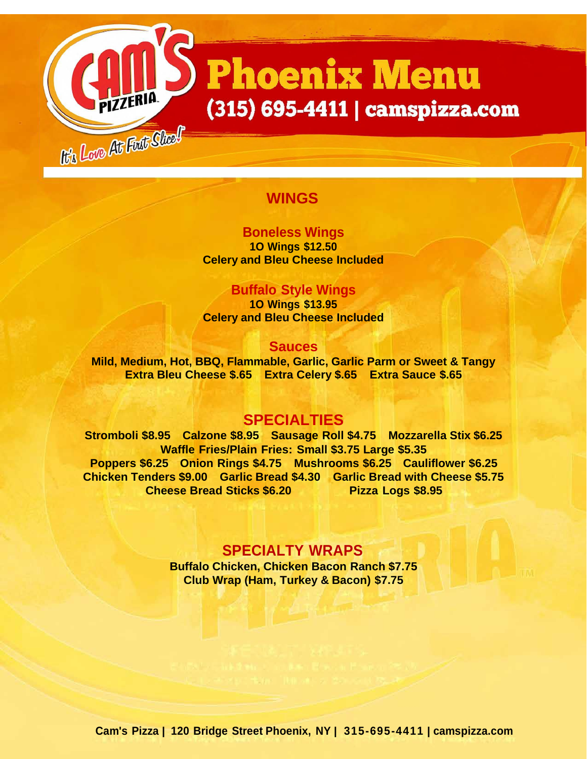# **Phoenix Menu** (315) 695-4411 | camspizza.com

# **WINGS**

the Love At First Shoel

### **Boneless Wings**

**1O Wings \$12.50 Celery and Bleu Cheese Included**

#### **Buffalo Style Wings**

**1O Wings \$13.95 Celery and Bleu Cheese Included**

#### **Sauces**

**Mild, Medium, Hot, BBQ, Flammable, Garlic, Garlic Parm or Sweet & Tangy Extra Bleu Cheese \$.65 Extra Celery \$.65 Extra Sauce \$.65**

# **SPECIALTIES**

**Stromboli \$8.95 Calzone \$8.95 Sausage Roll \$4.75 Mozzarella Stix \$6.25 Waffle Fries/Plain Fries: Small \$3.75 Large \$5.35 Poppers \$6.25 Onion Rings \$4.75 Mushrooms \$6.25 Cauliflower \$6.25 Chicken Tenders \$9.00 Garlic Bread \$4.30 Garlic Bread with Cheese \$5.75 Cheese Bread Sticks \$6.20 Pizza Logs \$8.95**

#### **SPECIALTY WRAPS**

**Buffalo Chicken, Chicken Bacon Ranch \$7.75 Club Wrap (Ham, Turkey & Bacon) \$7.75**